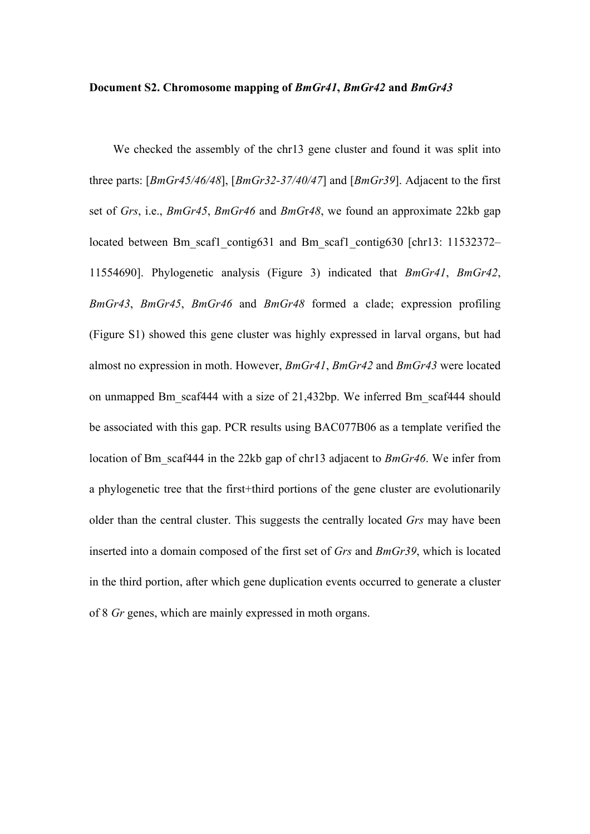## **Document S2. Chromosome mapping of** *BmGr41***,** *BmGr42* **and** *BmGr43*

We checked the assembly of the chr13 gene cluster and found it was split into three parts: [*BmGr45/46/48*], [*BmGr32-37/40/47*] and [*BmGr39*]. Adjacent to the first set of *Grs*, i.e., *BmGr45*, *BmGr46* and *BmG*r*48*, we found an approximate 22kb gap located between Bm\_scaf1\_contig631 and Bm\_scaf1\_contig630 [chr13: 11532372– 11554690]. Phylogenetic analysis (Figure 3) indicated that *BmGr41*, *BmGr42*, *BmGr43*, *BmGr45*, *BmGr46* and *BmGr48* formed a clade; expression profiling (Figure S1) showed this gene cluster was highly expressed in larval organs, but had almost no expression in moth. However, *BmGr41*, *BmGr42* and *BmGr43* were located on unmapped Bm\_scaf444 with a size of 21,432bp. We inferred Bm\_scaf444 should be associated with this gap. PCR results using BAC077B06 as a template verified the location of Bm\_scaf444 in the 22kb gap of chr13 adjacent to *BmGr46*. We infer from a phylogenetic tree that the first+third portions of the gene cluster are evolutionarily older than the central cluster. This suggests the centrally located *Grs* may have been inserted into a domain composed of the first set of *Grs* and *BmGr39*, which is located in the third portion, after which gene duplication events occurred to generate a cluster of 8 *Gr* genes, which are mainly expressed in moth organs.